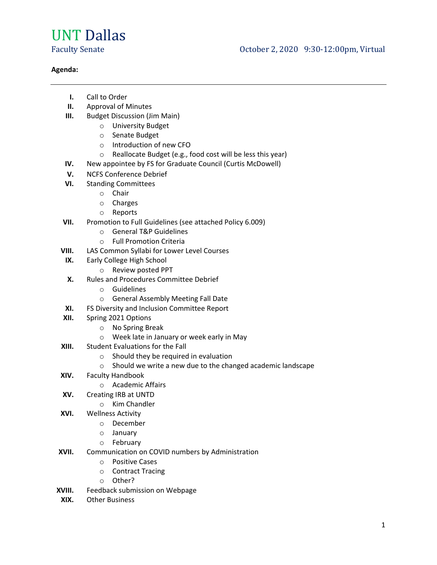## UNT Dallas

## **Agenda:**

- **I.** Call to Order
- **II.** Approval of Minutes
- **III.** Budget Discussion (Jim Main)
	- o University Budget
	- o Senate Budget
	- o Introduction of new CFO
	- o Reallocate Budget (e.g., food cost will be less this year)
- **IV.** New appointee by FS for Graduate Council (Curtis McDowell)
- **V.** NCFS Conference Debrief
- **VI.** Standing Committees
	- o Chair
	- o Charges
	- o Reports
- **VII.** Promotion to Full Guidelines (see attached Policy 6.009)
	- o General T&P Guidelines
	- o Full Promotion Criteria
- **VIII.** LAS Common Syllabi for Lower Level Courses
- **IX.** Early College High School
	- o Review posted PPT
- **X.** Rules and Procedures Committee Debrief
	- o Guidelines
	- o General Assembly Meeting Fall Date
- **XI.** FS Diversity and Inclusion Committee Report
- **XII.** Spring 2021 Options
	- o No Spring Break
	- o Week late in January or week early in May
- **XIII.** Student Evaluations for the Fall
	- o Should they be required in evaluation
	- o Should we write a new due to the changed academic landscape
- **XIV.** Faculty Handbook
	- o Academic Affairs
- **XV.** Creating IRB at UNTD
	- o Kim Chandler
- **XVI.** Wellness Activity
	- o December
	- o January
	- o February
- **XVII.** Communication on COVID numbers by Administration
	- o Positive Cases
	- o Contract Tracing
	- o Other?
- **XVIII.** Feedback submission on Webpage
- **XIX.** Other Business